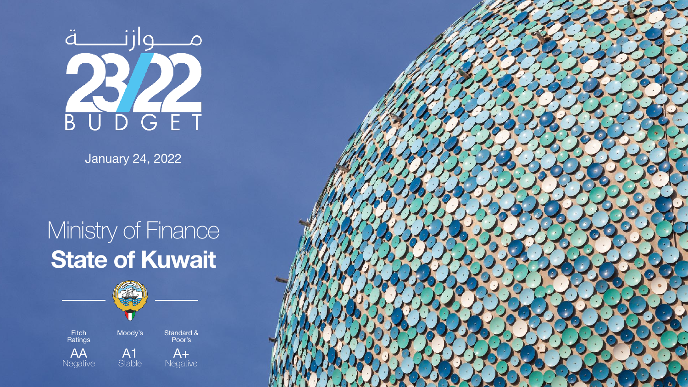

January 24, 2022

AA **Negative** 

A1

**Stable** 

Fitch **Ratings**  Moody's Standard & Poor's

> $A+$ **Negative**



#### Ministry of Finance **State of Kuwait**

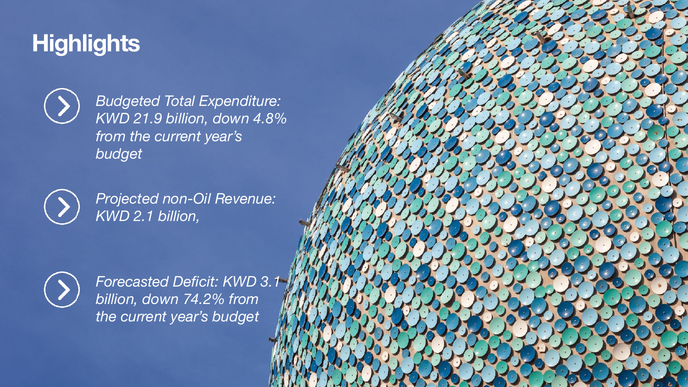#### **Highlights**



*Budgeted Total Expenditure: KWD 21.9 billion, down 4.8% from the current year's budget*



*Projected non-Oil Revenue: KWD 2.1 billion,*



*Forecasted Deficit: KWD 3.1 billion, down 74.2% from the current year's budget*

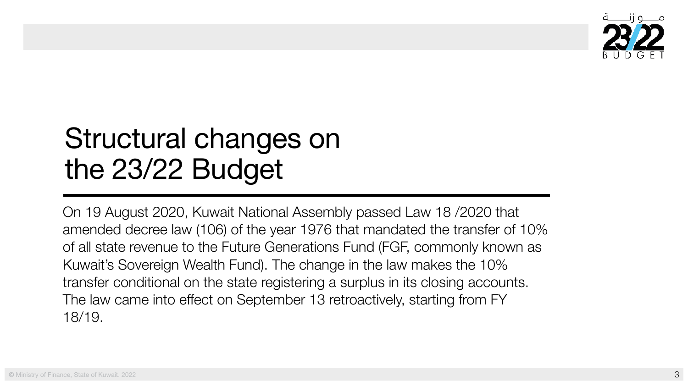On 19 August 2020, Kuwait National Assembly passed Law 18 /2020 that amended decree law (106) of the year 1976 that mandated the transfer of 10% of all state revenue to the Future Generations Fund (FGF, commonly known as Kuwait's Sovereign Wealth Fund). The change in the law makes the 10% transfer conditional on the state registering a surplus in its closing accounts. The law came into effect on September 13 retroactively, starting from FY 18/19.





# Structural changes on the 23/22 Budget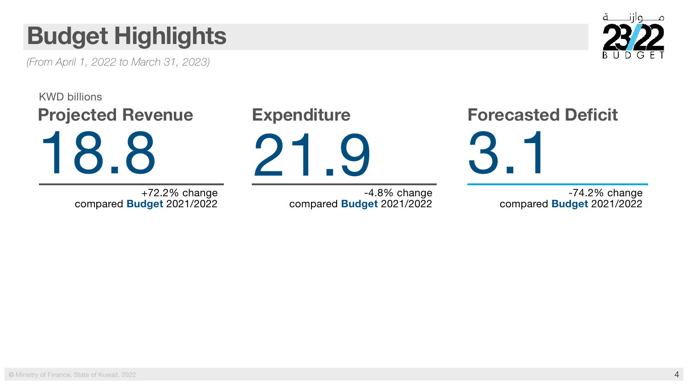

### **Budget Highlights**

*(From April 1, 2022 to March 31, 2023)* 

# **Projected Revenue Expenditure Forecasted Deficit** 18.8 21.9 3.1 KWD billions

-4.8% change compared **Budget** 2021/2022

+72.2% change compared **Budget** 2021/2022

-74.2% change compared **Budget** 2021/2022

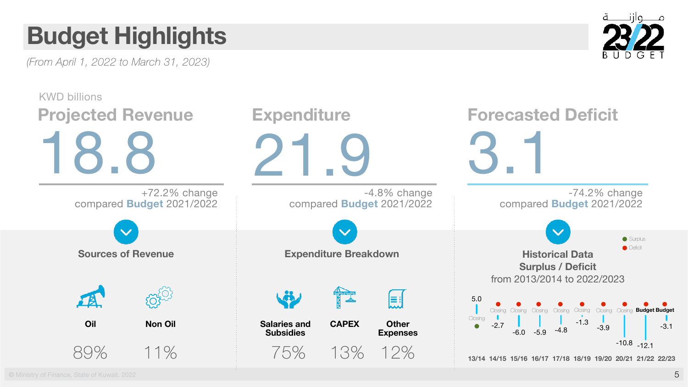**©** Ministry of Finance, State of Kuwait. 2022







*(From April 1, 2022 to March 31, 2023)* 

### **Budget Highlights**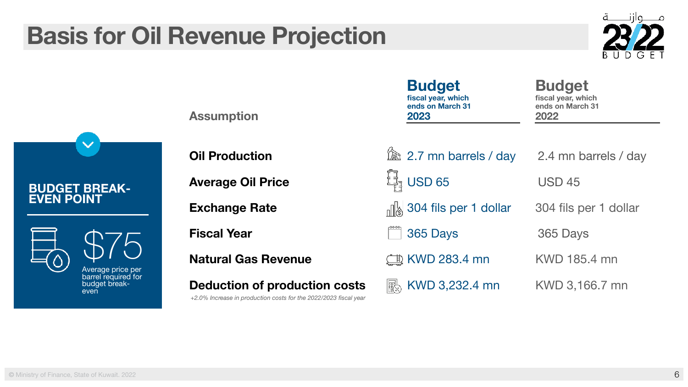

**Assumption**

**Average Oil Price Example 1** USD 65 USD 45

**Natural Gas Revenue**  $\Box$  KWD 283.4 mn KWD 185.4 mn

**Deduction of production costs** KWD 3,232.4 mn KWD 3,166.7 mn

**Budget fiscal year, which ends on March 31 2023**

**Budget fiscal year, which ends on March 31 2022**



**Exchange Rate** 1 and 1 and 1 and 1 and 1 and 1 and 1 and 1 and 1 and 1 and 1 and 1 and 1 and 1 and 1 and 1 and 1 and 1 and 1 and 1 and 1 and 1 and 1 and 1 and 1 and 1 and 1 and 1 and 1 and 1 and 1 and 1 and 1 and 1 and 1

**Fiscal Year** 2012 **2003** 365 Days 365 Days



#### **Basis for Oil Revenue Projection**

*+2.0% Increase in production costs for the 2022/2023 fiscal year*

#### **BUDGET BREAK-EVEN POINT**



\$75

Average price per barrel required for budget breakeven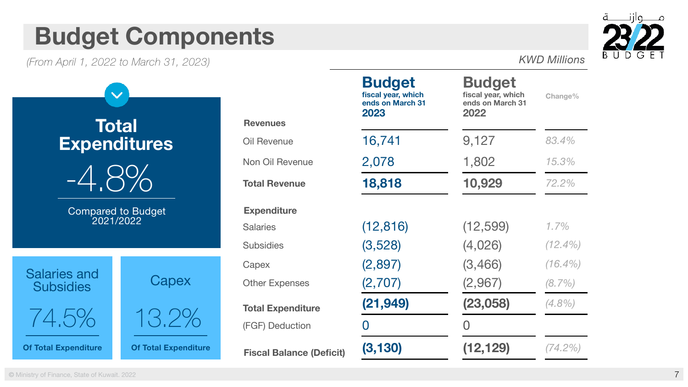

|                                 | <b>Budget</b><br>fiscal year, which<br>ends on March 31<br>2023 | <b>Budget</b><br>fiscal year, which<br>ends on March 31<br>2022 | <b>Change%</b> |
|---------------------------------|-----------------------------------------------------------------|-----------------------------------------------------------------|----------------|
| <b>Revenues</b>                 |                                                                 |                                                                 |                |
| <b>Oil Revenue</b>              | 16,741                                                          | 9,127                                                           | 83.4%          |
| <b>Non Oil Revenue</b>          | 2,078                                                           | 1,802                                                           | 15.3%          |
| <b>Total Revenue</b>            | 18,818                                                          | 10,929                                                          | 72.2%          |
| <b>Expenditure</b>              |                                                                 |                                                                 |                |
| <b>Salaries</b>                 | (12, 816)                                                       | (12, 599)                                                       | 1.7%           |
| <b>Subsidies</b>                | (3,528)                                                         | (4,026)                                                         | $(12.4\%)$     |
| Capex                           | (2,897)                                                         | (3,466)                                                         | $(16.4\%)$     |
| <b>Other Expenses</b>           | (2,707)                                                         | (2,967)                                                         | $(8.7\%)$      |
| <b>Total Expenditure</b>        | (21, 949)                                                       | (23,058)                                                        | $(4.8\%)$      |
| (FGF) Deduction                 |                                                                 |                                                                 |                |
| <b>Fiscal Balance (Deficit)</b> | (3, 130)                                                        | (12, 129)                                                       | $(74.2\%)$     |

Salaries and **Subsidies** 



#### **Budget Components**

*(From April 1, 2022 to March 31, 2023) KWD Millions*

**Of Total Expenditure**



#### **Total Expenditures**

 $\checkmark$ 



Compared to Budget 2021/2022

**Of Total Expenditure**

**Capex** 

 $1 \cup L / U$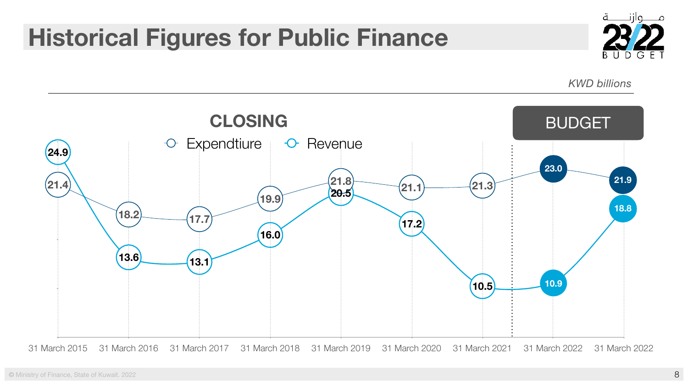



#### **Historical Figures for Public Finance**

*KWD billions*